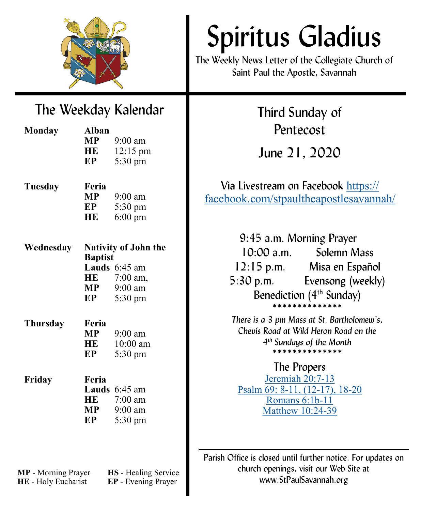

# The Weekday Kalendar

| <b>Monday</b> | <b>Alban</b><br>MP —        | $9:00$ am          |
|---------------|-----------------------------|--------------------|
|               | HE                          | $12:15 \text{ pm}$ |
|               | EP                          | 5:30 pm            |
|               |                             |                    |
| Tuesday       | Feria                       |                    |
|               | MP.                         | $9:00$ am          |
|               | EP                          | 5:30 pm            |
|               | HE                          | $6:00 \text{ pm}$  |
|               |                             |                    |
| Wednesday     | <b>Nativity of John the</b> |                    |
|               | <b>Baptist</b>              |                    |
|               |                             | Lauds 6:45 am      |
|               | HE                          | $7:00$ am,         |
|               | МP                          | $9:00$ am          |
|               | EP                          | 5:30 pm            |
| Thursday      | Feria                       |                    |
|               | <b>MP</b>                   | $9:00$ am          |
|               | HE                          | $10:00$ am         |
|               | EP                          | 5:30 pm            |
|               |                             |                    |
| Friday        | Feria                       |                    |
|               |                             | Lauds 6:45 am      |
|               |                             | $HE$ 7:00 am       |
|               | MP                          | $9:00$ am          |
|               | EP                          | 5:30 pm            |
|               |                             |                    |

**MP** - Morning Prayer **HS** - Healing Service **HE** - Holy Eucharist **EP** - Evening Prayer

# Spiritus Gladius

The Weekly News Letter of the Collegiate Church of Saint Paul the Apostle, Savannah

> Third Sunday of Pentecost

June 21, 2020

Via Livestream on Facebook [https://](https://facebook.com/stpaultheapostlesavannah/) [facebook.com/stpaultheapostlesavannah/](https://facebook.com/stpaultheapostlesavannah/)

> 9:45 a.m. Morning Prayer 10:00 a.m. Solemn Mass 12:15 p.m. Misa en Español 5:30 p.m. Evensong (weekly) Benediction  $(4<sup>th</sup> Sunday)$ \*\*\*\*\*\*\*\*\*\*\*\*\*

*There is a 3 pm Mass at St. Bartholomew's, Chevis Road at Wild Heron Road on the 4 th Sundays of the Month* \*\*\*\*\*\*\*\*\*\*\*\*\*\*

# The Propers

[Jeremiah 20:7](https://www.lectionarypage.net/YearA_RCL/Pentecost/AProp7_RCL.html#ot2)-13 [Psalm 69: 8](https://www.lectionarypage.net/YearA_RCL/Pentecost/AProp7_RCL.html#ps2)-11, (12-17), 18-20 [Romans 6:1b](https://www.lectionarypage.net/YearA_RCL/Pentecost/AProp7_RCL.html#nt1)-11 [Matthew 10:24](https://www.lectionarypage.net/YearA_RCL/Pentecost/AProp7_RCL.html#gsp1)-39

Parish Office is closed until further notice. For updates on church openings, visit our Web Site at www.StPaulSavannah.org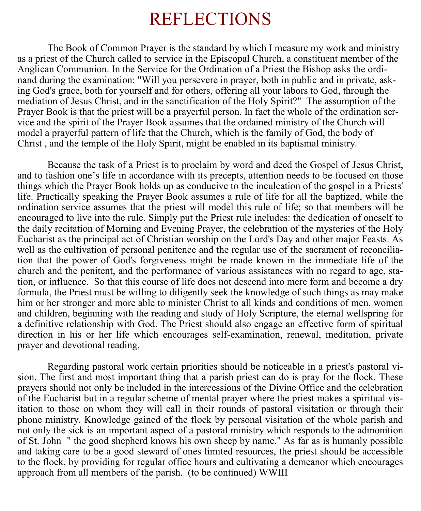# REFLECTIONS

The Book of Common Prayer is the standard by which I measure my work and ministry as a priest of the Church called to service in the Episcopal Church, a constituent member of the Anglican Communion. In the Service for the Ordination of a Priest the Bishop asks the ordinand during the examination: "Will you persevere in prayer, both in public and in private, asking God's grace, both for yourself and for others, offering all your labors to God, through the mediation of Jesus Christ, and in the sanctification of the Holy Spirit?" The assumption of the Prayer Book is that the priest will be a prayerful person. In fact the whole of the ordination service and the spirit of the Prayer Book assumes that the ordained ministry of the Church will model a prayerful pattern of life that the Church, which is the family of God, the body of Christ , and the temple of the Holy Spirit, might be enabled in its baptismal ministry.

Because the task of a Priest is to proclaim by word and deed the Gospel of Jesus Christ, and to fashion one's life in accordance with its precepts, attention needs to be focused on those things which the Prayer Book holds up as conducive to the inculcation of the gospel in a Priests' life. Practically speaking the Prayer Book assumes a rule of life for all the baptized, while the ordination service assumes that the priest will model this rule of life; so that members will be encouraged to live into the rule. Simply put the Priest rule includes: the dedication of oneself to the daily recitation of Morning and Evening Prayer, the celebration of the mysteries of the Holy Eucharist as the principal act of Christian worship on the Lord's Day and other major Feasts. As well as the cultivation of personal penitence and the regular use of the sacrament of reconciliation that the power of God's forgiveness might be made known in the immediate life of the church and the penitent, and the performance of various assistances with no regard to age, station, or influence. So that this course of life does not descend into mere form and become a dry formula, the Priest must be willing to diligently seek the knowledge of such things as may make him or her stronger and more able to minister Christ to all kinds and conditions of men, women and children, beginning with the reading and study of Holy Scripture, the eternal wellspring for a definitive relationship with God. The Priest should also engage an effective form of spiritual direction in his or her life which encourages self-examination, renewal, meditation, private prayer and devotional reading.

Regarding pastoral work certain priorities should be noticeable in a priest's pastoral vision. The first and most important thing that a parish priest can do is pray for the flock. These prayers should not only be included in the intercessions of the Divine Office and the celebration of the Eucharist but in a regular scheme of mental prayer where the priest makes a spiritual visitation to those on whom they will call in their rounds of pastoral visitation or through their phone ministry. Knowledge gained of the flock by personal visitation of the whole parish and not only the sick is an important aspect of a pastoral ministry which responds to the admonition of St. John " the good shepherd knows his own sheep by name." As far as is humanly possible and taking care to be a good steward of ones limited resources, the priest should be accessible to the flock, by providing for regular office hours and cultivating a demeanor which encourages approach from all members of the parish. (to be continued) WWIII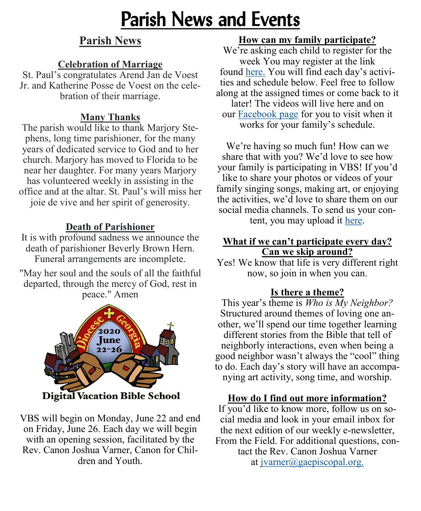# Parish News and Events

# **Parish News**

## **Celebration of Marriage**

St. Paul's congratulates Arend Jan de Voest Jr. and Katherine Posse de Voest on the celebration of their marriage.

# **Many Thanks**

The parish would like to thank Marjory Stephens, long time parishioner, for the many years of dedicated service to God and to her church. Marjory has moved to Florida to be near her daughter. For many years Marjory has volunteered weekly in assisting in the office and at the altar. St. Paul's will miss her joie de vive and her spirit of generosity.

# **Death of Parishioner**

It is with profound sadness we announce the death of parishioner Beverly Brown Hern. Funeral arrangements are incomplete.

"May her soul and the souls of all the faithful departed, through the mercy of God, rest in peace." Amen



VBS will begin on Monday, June 22 and end on Friday, June 26. Each day we will begin with an opening session, facilitated by the Rev. Canon Joshua Varner, Canon for Children and Youth.

# **How can my family participate?**

We're asking each child to register for the week You may register at the link found [here.](https://docs.google.com/forms/d/e/1FAIpQLScttJQg6tf0AjgvCwirnbqdzWC563wzLTKJ1LUyqJkUDD5xzA/viewform) You will find each day's activities and schedule below. Feel free to follow along at the assigned times or come back to it later! The videos will live here and on our [Facebook page](https://www.facebook.com/georgiaepiscopal) for you to visit when it works for your family's schedule.

We're having so much fun! How can we share that with you? We'd love to see how your family is participating in VBS! If you'd like to share your photos or videos of your family singing songs, making art, or enjoying the activities, we'd love to share them on our social media channels. To send us your content, you may upload it [here.](https://www.dropbox.com/request/abX7cI8GKqTfN6CneChU)

#### **What if we can't participate every day? Can we skip around?**

Yes! We know that life is very different right now, so join in when you can.

# **Is there a theme?**

This year's theme is *Who is My Neighbor?*  Structured around themes of loving one another, we'll spend our time together learning different stories from the Bible that tell of neighborly interactions, even when being a good neighbor wasn't always the "cool" thing to do. Each day's story will have an accompanying art activity, song time, and worship.

## **How do I find out more information?**

If you'd like to know more, follow us on social media and look in your email inbox for the next edition of our weekly e-newsletter, From the Field. For additional questions, contact the Rev. Canon Joshua Varner at [jvarner@gaepiscopal.org.](mailto:jvarner@gaepiscopal.org)